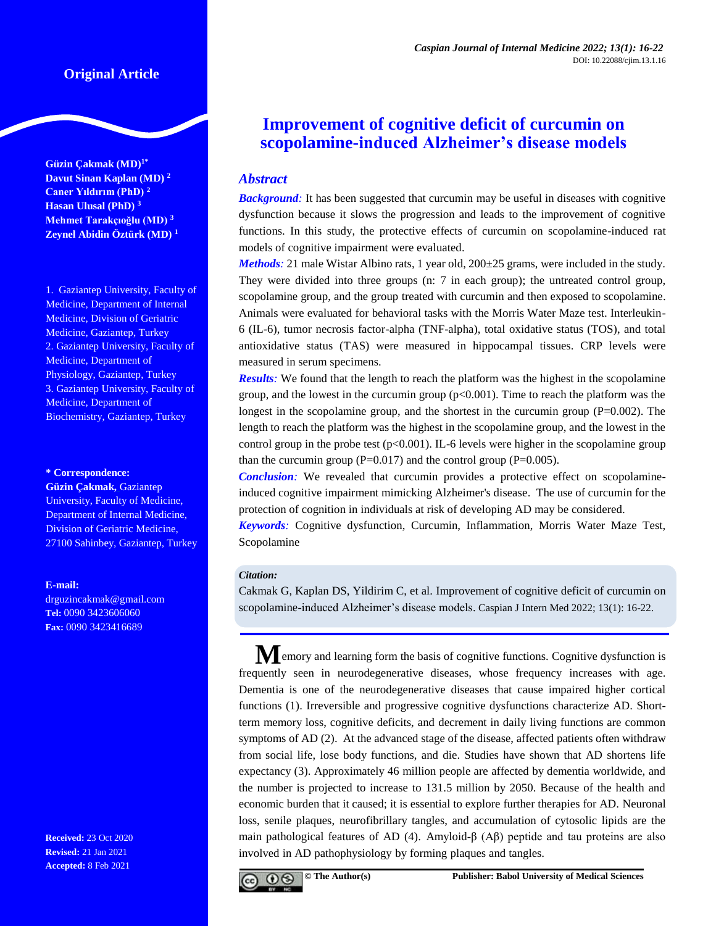# **Original Article**

**Güzin Çakmak (MD)1\* Davut Sinan Kaplan (MD) <sup>2</sup> Caner Yıldırım (PhD) <sup>2</sup> Hasan Ulusal (PhD) <sup>3</sup> Mehmet Tarakçıoğlu (MD) <sup>3</sup> Zeynel Abidin Öztürk (MD) <sup>1</sup>**

1. Gaziantep University, Faculty of Medicine, Department of Internal Medicine, Division of Geriatric Medicine, Gaziantep, Turkey 2. Gaziantep University, Faculty of Medicine, Department of Physiology, Gaziantep, Turkey 3. Gaziantep University, Faculty of Medicine, Department of Biochemistry, Gaziantep, Turkey

#### **\* Correspondence:**

**Güzin Çakmak,** Gaziantep University, Faculty of Medicine, Department of Internal Medicine, Division of Geriatric Medicine, 27100 Sahinbey, Gaziantep, Turkey

#### **E-mail:**

drguzincakmak@gmail.com **Tel:** 0090 3423606060 **Fax:** 0090 3423416689

**Received:** 23 Oct 2020 **Revised:** 21 Jan 2021 **Accepted:** 8 Feb 2021

# **Improvement of cognitive deficit of curcumin on scopolamine-induced Alzheimer's disease models**

# *Abstract*

**Background**: It has been suggested that curcumin may be useful in diseases with cognitive dysfunction because it slows the progression and leads to the improvement of cognitive functions. In this study, the protective effects of curcumin on scopolamine-induced rat models of cognitive impairment were evaluated.

*Methods*: 21 male Wistar Albino rats, 1 year old, 200 $\pm$ 25 grams, were included in the study. They were divided into three groups (n: 7 in each group); the untreated control group, scopolamine group, and the group treated with curcumin and then exposed to scopolamine. Animals were evaluated for behavioral tasks with the Morris Water Maze test. Interleukin-6 (IL-6), tumor necrosis factor-alpha (TNF-alpha), total oxidative status (TOS), and total antioxidative status (TAS) were measured in hippocampal tissues. CRP levels were measured in serum specimens.

*Results:* We found that the length to reach the platform was the highest in the scopolamine group, and the lowest in the curcumin group  $(p<0.001)$ . Time to reach the platform was the longest in the scopolamine group, and the shortest in the curcumin group (P=0.002). The length to reach the platform was the highest in the scopolamine group, and the lowest in the control group in the probe test ( $p<0.001$ ). IL-6 levels were higher in the scopolamine group than the curcumin group ( $P=0.017$ ) and the control group ( $P=0.005$ ).

*Conclusion:* We revealed that curcumin provides a protective effect on scopolamineinduced cognitive impairment mimicking Alzheimer's disease. The use of curcumin for the protection of cognition in individuals at risk of developing AD may be considered.

*Keywords:* Cognitive dysfunction, Curcumin, Inflammation, Morris Water Maze Test, Scopolamine

#### *Citation:*

Cakmak G, Kaplan DS, Yildirim C, et al. Improvement of cognitive deficit of curcumin on scopolamine-induced Alzheimer's disease models. Caspian J Intern Med 2022; 13(1): 16-22.

**M**emory and learning form the basis of cognitive functions. Cognitive dysfunction is frequently seen in neurodegenerative diseases, whose frequency increases with age. Dementia is one of the neurodegenerative diseases that cause impaired higher cortical functions (1). Irreversible and progressive cognitive dysfunctions characterize AD. Shortterm memory loss, cognitive deficits, and decrement in daily living functions are common symptoms of AD (2). At the advanced stage of the disease, affected patients often withdraw from social life, lose body functions, and die. Studies have shown that AD shortens life expectancy (3). Approximately 46 million people are affected by dementia worldwide, and the number is projected to increase to 131.5 million by 2050. Because of the health and economic burden that it caused; it is essential to explore further therapies for AD. Neuronal loss, senile plaques, neurofibrillary tangles, and accumulation of cytosolic lipids are the main pathological features of AD (4). Amyloid-β (Aβ) peptide and tau proteins are also involved in AD pathophysiology by forming plaques and tangles.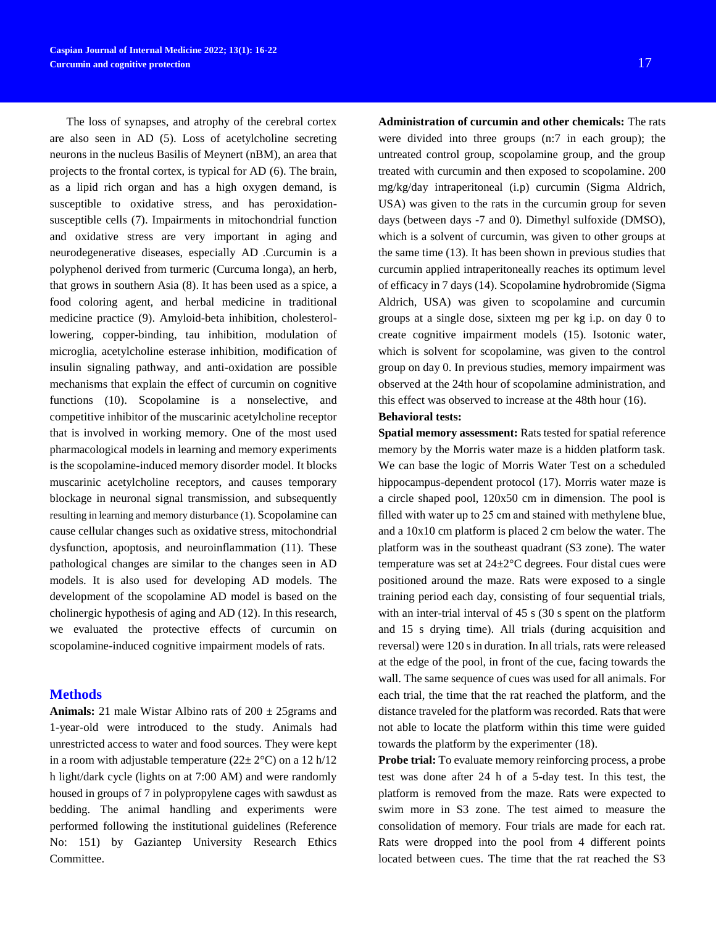The loss of synapses, and atrophy of the cerebral cortex are also seen in AD (5). Loss of acetylcholine secreting neurons in the nucleus Basilis of Meynert (nBM), an area that projects to the frontal cortex, is typical for AD (6). The brain, as a lipid rich organ and has a high oxygen demand, is susceptible to oxidative stress, and has peroxidationsusceptible cells (7). Impairments in mitochondrial function and oxidative stress are very important in aging and neurodegenerative diseases, especially AD .Curcumin is a polyphenol derived from turmeric (Curcuma longa), an herb, that grows in southern Asia (8). It has been used as a spice, a food coloring agent, and herbal medicine in traditional medicine practice (9). Amyloid-beta inhibition, cholesterollowering, copper-binding, tau inhibition, modulation of microglia, acetylcholine esterase inhibition, modification of insulin signaling pathway, and anti-oxidation are possible mechanisms that explain the effect of curcumin on cognitive functions (10). Scopolamine is a nonselective, and competitive inhibitor of the muscarinic acetylcholine receptor that is involved in working memory. One of the most used pharmacological models in learning and memory experiments is the scopolamine-induced memory disorder model. It blocks muscarinic acetylcholine receptors, and causes temporary blockage in neuronal signal transmission, and subsequently resulting in learning and memory disturbance (1). Scopolamine can cause cellular changes such as oxidative stress, mitochondrial dysfunction, apoptosis, and neuroinflammation (11). These pathological changes are similar to the changes seen in AD models. It is also used for developing AD models. The development of the scopolamine AD model is based on the cholinergic hypothesis of aging and AD (12). In this research, we evaluated the protective effects of curcumin on scopolamine-induced cognitive impairment models of rats.

### **Methods**

**Animals:** 21 male Wistar Albino rats of  $200 \pm 25$  grams and 1-year-old were introduced to the study. Animals had unrestricted access to water and food sources. They were kept in a room with adjustable temperature ( $22 \pm 2$ °C) on a 12 h/12 h light/dark cycle (lights on at 7:00 AM) and were randomly housed in groups of 7 in polypropylene cages with sawdust as bedding. The animal handling and experiments were performed following the institutional guidelines (Reference No: 151) by Gaziantep University Research Ethics Committee.

**Administration of curcumin and other chemicals:** The rats were divided into three groups (n:7 in each group); the untreated control group, scopolamine group, and the group treated with curcumin and then exposed to scopolamine. 200 mg/kg/day intraperitoneal (i.p) curcumin (Sigma Aldrich, USA) was given to the rats in the curcumin group for seven days (between days -7 and 0). Dimethyl sulfoxide (DMSO), which is a solvent of curcumin, was given to other groups at the same time (13). It has been shown in previous studies that curcumin applied intraperitoneally reaches its optimum level of efficacy in 7 days (14). Scopolamine hydrobromide (Sigma Aldrich, USA) was given to scopolamine and curcumin groups at a single dose, sixteen mg per kg i.p. on day 0 to create cognitive impairment models (15). Isotonic water, which is solvent for scopolamine, was given to the control group on day 0. In previous studies, memory impairment was observed at the 24th hour of scopolamine administration, and this effect was observed to increase at the 48th hour (16).

# **Behavioral tests:**

**Spatial memory assessment:** Rats tested for spatial reference memory by the Morris water maze is a hidden platform task. We can base the logic of Morris Water Test on a scheduled hippocampus-dependent protocol (17). Morris water maze is a circle shaped pool, 120x50 cm in dimension. The pool is filled with water up to 25 cm and stained with methylene blue, and a 10x10 cm platform is placed 2 cm below the water. The platform was in the southeast quadrant (S3 zone). The water temperature was set at 24±2°C degrees. Four distal cues were positioned around the maze. Rats were exposed to a single training period each day, consisting of four sequential trials, with an inter-trial interval of 45 s (30 s spent on the platform and 15 s drying time). All trials (during acquisition and reversal) were 120 s in duration. In all trials, rats were released at the edge of the pool, in front of the cue, facing towards the wall. The same sequence of cues was used for all animals. For each trial, the time that the rat reached the platform, and the distance traveled for the platform was recorded. Rats that were not able to locate the platform within this time were guided towards the platform by the experimenter (18).

**Probe trial:** To evaluate memory reinforcing process, a probe test was done after 24 h of a 5-day test. In this test, the platform is removed from the maze. Rats were expected to swim more in S3 zone. The test aimed to measure the consolidation of memory. Four trials are made for each rat. Rats were dropped into the pool from 4 different points located between cues. The time that the rat reached the S3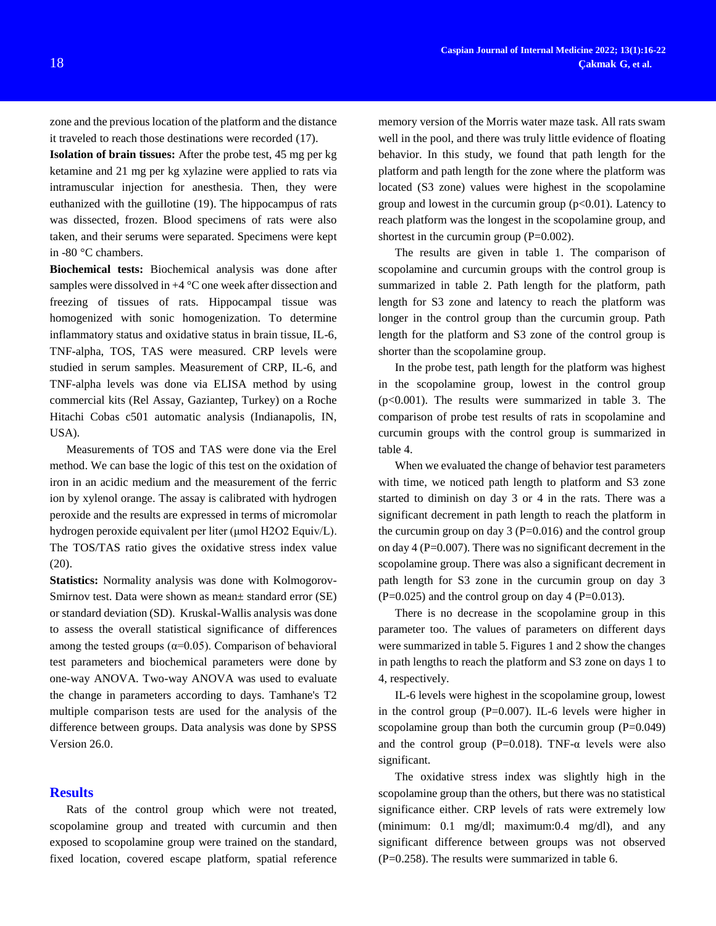zone and the previous location of the platform and the distance it traveled to reach those destinations were recorded (17).

**Isolation of brain tissues:** After the probe test, 45 mg per kg ketamine and 21 mg per kg xylazine were applied to rats via intramuscular injection for anesthesia. Then, they were euthanized with the guillotine (19). The hippocampus of rats was dissected, frozen. Blood specimens of rats were also taken, and their serums were separated. Specimens were kept in -80 °C chambers.

**Biochemical tests:** Biochemical analysis was done after samples were dissolved in  $+4$  °C one week after dissection and freezing of tissues of rats. Hippocampal tissue was homogenized with sonic homogenization. To determine inflammatory status and oxidative status in brain tissue, IL-6, TNF-alpha, TOS, TAS were measured. CRP levels were studied in serum samples. Measurement of CRP, IL-6, and TNF-alpha levels was done via ELISA method by using commercial kits (Rel Assay, Gaziantep, Turkey) on a Roche Hitachi Cobas c501 automatic analysis (Indianapolis, IN, USA).

Measurements of TOS and TAS were done via the Erel method. We can base the logic of this test on the oxidation of iron in an acidic medium and the measurement of the ferric ion by xylenol orange. The assay is calibrated with hydrogen peroxide and the results are expressed in terms of micromolar hydrogen peroxide equivalent per liter (μmol H2O2 Equiv/L). The TOS/TAS ratio gives the oxidative stress index value (20).

**Statistics:** Normality analysis was done with Kolmogorov-Smirnov test. Data were shown as mean± standard error (SE) or standard deviation (SD). Kruskal-Wallis analysis was done to assess the overall statistical significance of differences among the tested groups ( $\alpha$ =0.05). Comparison of behavioral test parameters and biochemical parameters were done by one-way ANOVA. Two-way ANOVA was used to evaluate the change in parameters according to days. Tamhane's T2 multiple comparison tests are used for the analysis of the difference between groups. Data analysis was done by SPSS Version 26.0.

#### **Results**

Rats of the control group which were not treated, scopolamine group and treated with curcumin and then exposed to scopolamine group were trained on the standard, fixed location, covered escape platform, spatial reference

memory version of the Morris water maze task. All rats swam well in the pool, and there was truly little evidence of floating behavior. In this study, we found that path length for the platform and path length for the zone where the platform was located (S3 zone) values were highest in the scopolamine group and lowest in the curcumin group  $(p<0.01)$ . Latency to reach platform was the longest in the scopolamine group, and shortest in the curcumin group  $(P=0.002)$ .

The results are given in table 1. The comparison of scopolamine and curcumin groups with the control group is summarized in table 2. Path length for the platform, path length for S3 zone and latency to reach the platform was longer in the control group than the curcumin group. Path length for the platform and S3 zone of the control group is shorter than the scopolamine group.

In the probe test, path length for the platform was highest in the scopolamine group, lowest in the control group (p<0.001). The results were summarized in table 3. The comparison of probe test results of rats in scopolamine and curcumin groups with the control group is summarized in table 4.

When we evaluated the change of behavior test parameters with time, we noticed path length to platform and S3 zone started to diminish on day 3 or 4 in the rats. There was a significant decrement in path length to reach the platform in the curcumin group on day  $3 (P=0.016)$  and the control group on day  $4 (P=0.007)$ . There was no significant decrement in the scopolamine group. There was also a significant decrement in path length for S3 zone in the curcumin group on day 3  $(P=0.025)$  and the control group on day 4 (P=0.013).

There is no decrease in the scopolamine group in this parameter too. The values of parameters on different days were summarized in table 5. Figures 1 and 2 show the changes in path lengths to reach the platform and S3 zone on days 1 to 4, respectively.

IL-6 levels were highest in the scopolamine group, lowest in the control group (P=0.007). IL-6 levels were higher in scopolamine group than both the curcumin group  $(P=0.049)$ and the control group (P=0.018). TNF- $\alpha$  levels were also significant.

The oxidative stress index was slightly high in the scopolamine group than the others, but there was no statistical significance either. CRP levels of rats were extremely low (minimum: 0.1 mg/dl; maximum:0.4 mg/dl), and any significant difference between groups was not observed  $(P=0.258)$ . The results were summarized in table 6.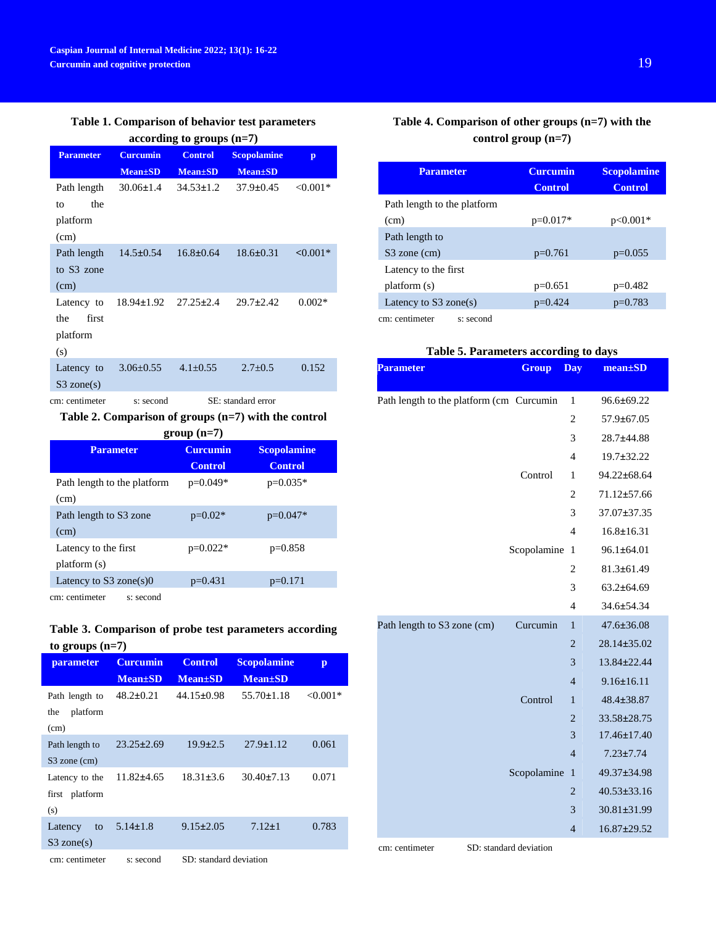# **Table 1. Comparison of behavior test parameters**

**according to groups (n=7)**

| <b>Parameter</b> | <b>Curcumin</b>                  | <b>Control</b>  | <b>Scopolamine</b> | $\mathbf{p}$ |
|------------------|----------------------------------|-----------------|--------------------|--------------|
|                  | <b>Mean</b> ±SD                  | <b>Mean</b> ±SD | <b>Mean</b> ±SD    |              |
| Path length      | $30.06 \pm 1.4$                  | $34.53 \pm 1.2$ | $37.9 \pm 0.45$    | $< 0.001*$   |
| the<br>to        |                                  |                 |                    |              |
| platform         |                                  |                 |                    |              |
| (cm)             |                                  |                 |                    |              |
| Path length      | $14.5 \pm 0.54$                  | $16.8 \pm 0.64$ | $18.6 \pm 0.31$    | $< 0.001*$   |
| to S3 zone       |                                  |                 |                    |              |
| (cm)             |                                  |                 |                    |              |
| Latency to       | $18.94 \pm 1.92$ $27.25 \pm 2.4$ |                 | $29.7 \pm 2.42$    | $0.002*$     |
| first<br>the     |                                  |                 |                    |              |
| platform         |                                  |                 |                    |              |
| (s)              |                                  |                 |                    |              |
| Latency to       | $3.06 \pm 0.55$                  | $4.1 \pm 0.55$  | $2.7 \pm 0.5$      | 0.152        |
| $S3$ zone(s)     |                                  |                 |                    |              |

cm: centimeter s: second SE: standard error

# **Table 2. Comparison of groups (n=7) with the control**

| $group(n=7)$                |                 |                    |  |  |
|-----------------------------|-----------------|--------------------|--|--|
| <b>Parameter</b>            | <b>Curcumin</b> | <b>Scopolamine</b> |  |  |
|                             | <b>Control</b>  | <b>Control</b>     |  |  |
| Path length to the platform | p=0.049*        | p=0.035*           |  |  |
| (cm)                        |                 |                    |  |  |
| Path length to S3 zone      | $p=0.02*$       | $p=0.047*$         |  |  |
| (cm)                        |                 |                    |  |  |
| Latency to the first        | $p=0.022*$      | $p=0.858$          |  |  |
| platform (s)                |                 |                    |  |  |
| Latency to $S3$ zone(s) $0$ | $p=0.431$       | $p=0.171$          |  |  |
| cm: centimeter<br>s: second |                 |                    |  |  |

# **Table 3. Comparison of probe test parameters according to groups (n=7)**

| $    -$                                   |                                    |                                   |                                       |              |
|-------------------------------------------|------------------------------------|-----------------------------------|---------------------------------------|--------------|
| <b>parameter</b>                          | <b>Curcumin</b><br><b>Mean</b> ±SD | <b>Control</b><br><b>Mean</b> ±SD | <b>Scopolamine</b><br><b>Mean</b> ±SD | $\mathbf{p}$ |
| Path length to<br>platform<br>the<br>(cm) | $48.2 \pm 0.21$                    | $44.15 \pm 0.98$                  | $55.70 \pm 1.18$                      | $< 0.001*$   |
| Path length to<br>S3 zone (cm)            | $23.25 \pm 2.69$                   | $19.9 \pm 2.5$                    | $27.9 \pm 1.12$                       | 0.061        |
| Latency to the<br>first platform<br>(s)   | $11.82 + 4.65$                     | $18.31 \pm 3.6$                   | $30.40 \pm 7.13$                      | 0.071        |
| Latency<br>to<br>$S3$ zone(s)             | $5.14 \pm 1.8$                     | $9.15 \pm 2.05$                   | $7.12 \pm 1$                          | 0.783        |
| cm: centimeter                            | s: second                          | SD: standard deviation            |                                       |              |

# **Table 4. Comparison of other groups (n=7) with the control group (n=7)**

| <b>Parameter</b>            | <b>Curcumin</b> | <b>Scopolamine</b> |  |
|-----------------------------|-----------------|--------------------|--|
|                             | <b>Control</b>  | <b>Control</b>     |  |
| Path length to the platform |                 |                    |  |
| (cm)                        | $p=0.017*$      | $p<0.001*$         |  |
| Path length to              |                 |                    |  |
| S3 zone (cm)                | $p=0.761$       | $p=0.055$          |  |
| Latency to the first        |                 |                    |  |
| platform (s)                | $p=0.651$       | $p=0.482$          |  |
| Latency to $S3$ zone(s)     | $p=0.424$       | $p=0.783$          |  |
| cm: centimeter<br>s: second |                 |                    |  |

# **Table 5. Parameters according to days**

| <b>Parameter</b>                         | <b>Group</b>           | <b>Day</b>     | $mean \pm SD$     |
|------------------------------------------|------------------------|----------------|-------------------|
| Path length to the platform (cm Curcumin |                        | $\mathbf{1}$   | $96.6 \pm 69.22$  |
|                                          |                        | 2              | $57.9 \pm 67.05$  |
|                                          |                        | 3              | 28.7±44.88        |
|                                          |                        | 4              | $19.7 \pm 32.22$  |
|                                          | Control                | 1              | 94.22±68.64       |
|                                          |                        | $\overline{c}$ | 71.12±57.66       |
|                                          |                        | 3              | 37.07±37.35       |
|                                          |                        | 4              | $16.8 \pm 16.31$  |
|                                          | Scopolamine            | 1              | $96.1 \pm 64.01$  |
|                                          |                        | 2              | $81.3 \pm 61.49$  |
|                                          |                        | 3              | $63.2 \pm 64.69$  |
|                                          |                        | $\overline{4}$ | $34.6 \pm 54.34$  |
| Path length to S3 zone (cm)              | Curcumin               | $\mathbf{1}$   | $47.6 \pm 36.08$  |
|                                          |                        | $\overline{2}$ | 28.14±35.02       |
|                                          |                        | 3              | 13.84±22.44       |
|                                          |                        | 4              | $9.16 \pm 16.11$  |
|                                          | Control                | 1              | $48.4 \pm 38.87$  |
|                                          |                        | $\overline{c}$ | $33.58 \pm 28.75$ |
|                                          |                        | 3              | $17.46 \pm 17.40$ |
|                                          |                        | $\overline{4}$ | $7.23 \pm 7.74$   |
|                                          | Scopolamine            | $\mathbf{1}$   | 49.37±34.98       |
|                                          |                        | $\overline{c}$ | $40.53 \pm 33.16$ |
|                                          |                        | 3              | 30.81±31.99       |
|                                          |                        | $\overline{4}$ | 16.87±29.52       |
| cm: centimeter                           | SD: standard deviation |                |                   |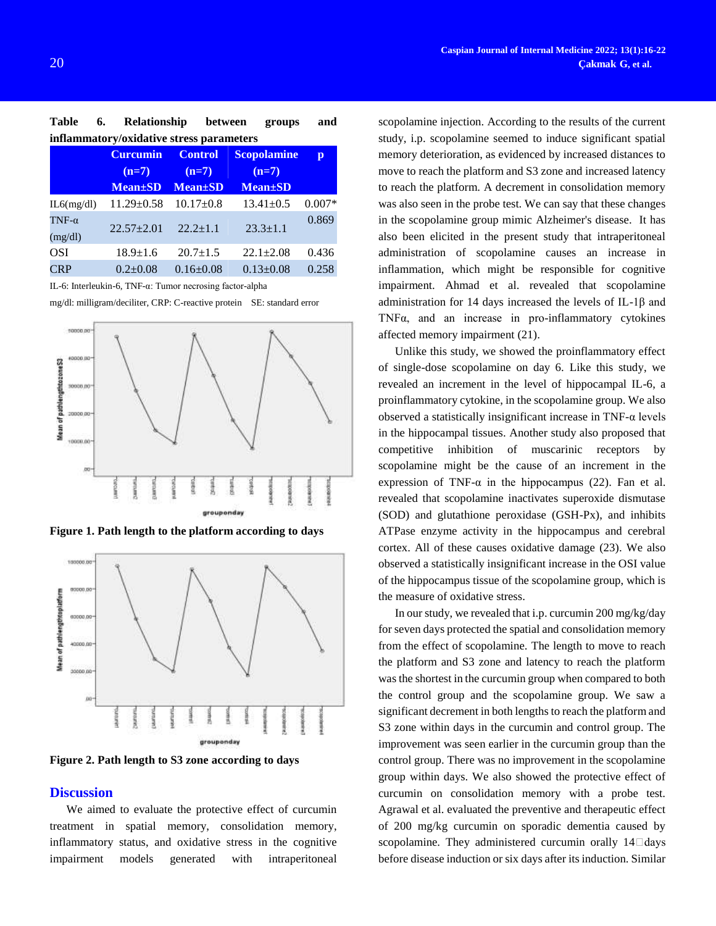| <b>Table</b> | 6. | <b>Relationship</b>                                                               | between | groups | and |
|--------------|----|-----------------------------------------------------------------------------------|---------|--------|-----|
|              |    | inflammatory/oxidative stress parameters                                          |         |        |     |
|              |    | $O_{\text{measured}}$ $O_{\text{evdual}}$ $O_{\text{evdual}}$ $O_{\text{evdual}}$ |         |        |     |

|                          | <b>Curcumin</b>  | <b>Control</b>  | <b>Scopolamine</b> | p        |
|--------------------------|------------------|-----------------|--------------------|----------|
|                          | $(n=7)$          | $(n=7)$         | $(n=7)$            |          |
|                          | <b>Mean</b> ±SD  | $Mean \pm SD$   | <b>Mean</b> ±SD    |          |
| IL6(mg/dl)               | $11.29 \pm 0.58$ | $10.17 \pm 0.8$ | $13.41 \pm 0.5$    | $0.007*$ |
| TNF- $\alpha$<br>(mg/dl) | $22.57 \pm 2.01$ | $22.2 \pm 1.1$  | $23.3 \pm 1.1$     | 0.869    |
| <b>OSI</b>               | $18.9 \pm 1.6$   | $20.7 \pm 1.5$  | $22.1 \pm 2.08$    | 0.436    |
| <b>CRP</b>               | $0.2 \pm 0.08$   | $0.16 \pm 0.08$ | $0.13 \pm 0.08$    | 0.258    |

IL-6: Interleukin-6, TNF-α: Tumor necrosing factor-alpha

mg/dl: milligram/deciliter, CRP: C-reactive protein SE: standard error



**Figure 1. Path length to the platform according to days**



**Figure 2. Path length to S3 zone according to days**

### **Discussion**

We aimed to evaluate the protective effect of curcumin treatment in spatial memory, consolidation memory, inflammatory status, and oxidative stress in the cognitive impairment models generated with intraperitoneal

scopolamine injection. According to the results of the current study, i.p. scopolamine seemed to induce significant spatial memory deterioration, as evidenced by increased distances to move to reach the platform and S3 zone and increased latency to reach the platform. A decrement in consolidation memory was also seen in the probe test. We can say that these changes in the scopolamine group mimic Alzheimer's disease. It has also been elicited in the present study that intraperitoneal administration of scopolamine causes an increase in inflammation, which might be responsible for cognitive impairment. Ahmad et al. revealed that scopolamine administration for 14 days increased the levels of IL-1β and TNFα, and an increase in pro-inflammatory cytokines affected memory impairment (21).

Unlike this study, we showed the proinflammatory effect of single-dose scopolamine on day 6. Like this study, we revealed an increment in the level of hippocampal IL-6, a proinflammatory cytokine, in the scopolamine group. We also observed a statistically insignificant increase in  $TNF-\alpha$  levels in the hippocampal tissues. Another study also proposed that competitive inhibition of muscarinic receptors by scopolamine might be the cause of an increment in the expression of TNF- $\alpha$  in the hippocampus (22). Fan et al. revealed that scopolamine inactivates superoxide dismutase (SOD) and glutathione peroxidase (GSH-Px), and inhibits ATPase enzyme activity in the hippocampus and cerebral cortex. All of these causes oxidative damage (23). We also observed a statistically insignificant increase in the OSI value of the hippocampus tissue of the scopolamine group, which is the measure of oxidative stress.

In our study, we revealed that i.p. curcumin 200 mg/kg/day for seven days protected the spatial and consolidation memory from the effect of scopolamine. The length to move to reach the platform and S3 zone and latency to reach the platform was the shortest in the curcumin group when compared to both the control group and the scopolamine group. We saw a significant decrement in both lengths to reach the platform and S3 zone within days in the curcumin and control group. The improvement was seen earlier in the curcumin group than the control group. There was no improvement in the scopolamine group within days. We also showed the protective effect of curcumin on consolidation memory with a probe test. [Agrawal et al.](https://www.sciencedirect.com/science/article/pii/S000689931930530X#b0005) evaluated the preventive and therapeutic effect of 200 mg/kg curcumin on sporadic dementia caused by scopolamine. They administered curcumin orally 14 $\square$ days before disease induction or six days after its induction. Similar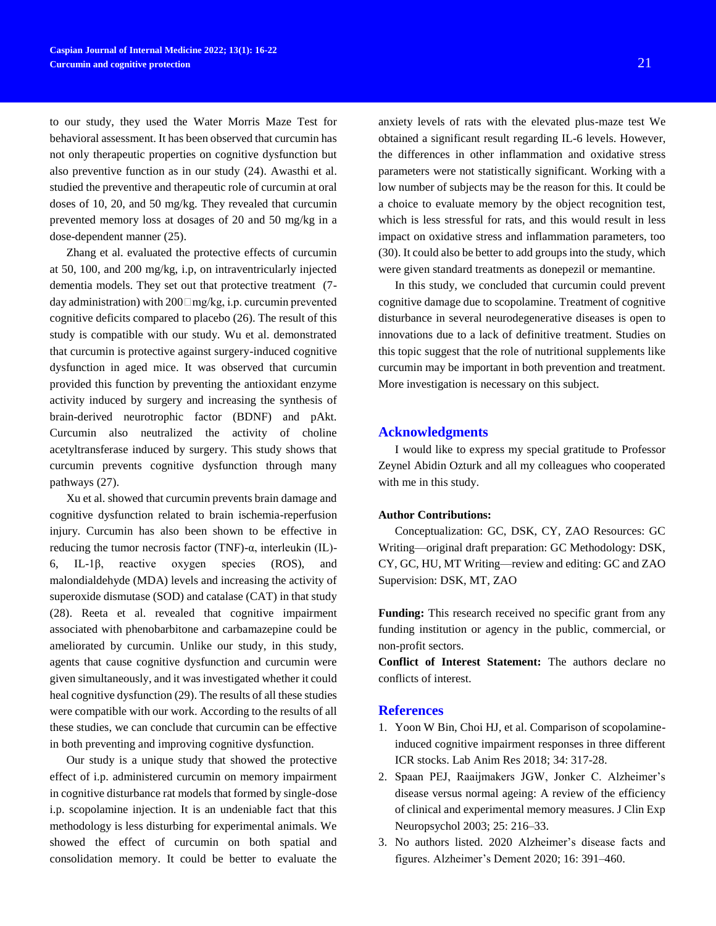to our study, they used the Water Morris Maze Test for behavioral assessment. It has been observed that curcumin has not only therapeutic properties on cognitive dysfunction but also preventive function as in our study (24). [Awasthi et al.](https://www.sciencedirect.com/science/article/pii/S000689931930530X#b0030)  [studied](https://www.sciencedirect.com/science/article/pii/S000689931930530X#b0030) the preventive and therapeutic role of curcumin at oral doses of 10, 20, and 50 mg/kg. They revealed that curcumin prevented memory loss at dosages of 20 and 50 mg/kg in a dose-dependent manner (25).

[Zhang et al.](https://www.sciencedirect.com/science/article/pii/S000689931930530X#b0440) evaluated the protective effects of curcumin at 50, 100, and 200 mg/kg, i.p, on intraventricularly injected dementia models. They set out that protective treatment (7 day administration) with 200 mg/kg, i.p. curcumin prevented cognitive deficits compared to placebo (26). The result of this study is compatible with our study. Wu et al. demonstrated that curcumin is protective against surgery-induced cognitive dysfunction in aged mice. It was observed that curcumin provided this function by preventing the antioxidant enzyme activity induced by surgery and increasing the synthesis of brain-derived neurotrophic factor (BDNF) and pAkt. Curcumin also neutralized the activity of choline acetyltransferase induced by surgery. This study shows that curcumin prevents cognitive dysfunction through many pathways (27).

Xu et al. showed that curcumin prevents brain damage and cognitive dysfunction related to brain ischemia-reperfusion injury. Curcumin has also been shown to be effective in reducing the tumor necrosis factor (TNF)-α, interleukin (IL)- 6, IL-1β, reactive oxygen species (ROS), and malondialdehyde (MDA) levels and increasing the activity of superoxide dismutase (SOD) and catalase (CAT) in that study (28). Reeta et al. revealed that cognitive impairment associated with phenobarbitone and carbamazepine could be ameliorated by curcumin. Unlike our study, in this study, agents that cause cognitive dysfunction and curcumin were given simultaneously, and it was investigated whether it could heal cognitive dysfunction (29). The results of all these studies were compatible with our work. According to the results of all these studies, we can conclude that curcumin can be effective in both preventing and improving cognitive dysfunction.

Our study is a unique study that showed the protective effect of i.p. administered curcumin on memory impairment in cognitive disturbance rat models that formed by single-dose i.p. scopolamine injection. It is an undeniable fact that this methodology is less disturbing for experimental animals. We showed the effect of curcumin on both spatial and consolidation memory. It could be better to evaluate the

anxiety levels of rats with the elevated plus-maze test We obtained a significant result regarding IL-6 levels. However, the differences in other inflammation and oxidative stress parameters were not statistically significant. Working with a low number of subjects may be the reason for this. It could be a choice to evaluate memory by the object recognition test, which is less stressful for rats, and this would result in less impact on oxidative stress and inflammation parameters, too (30). It could also be better to add groups into the study, which were given standard treatments as donepezil or memantine.

In this study, we concluded that curcumin could prevent cognitive damage due to scopolamine. Treatment of cognitive disturbance in several neurodegenerative diseases is open to innovations due to a lack of definitive treatment. Studies on this topic suggest that the role of nutritional supplements like curcumin may be important in both prevention and treatment. More investigation is necessary on this subject.

### **Acknowledgments**

I would like to express my special gratitude to Professor Zeynel Abidin Ozturk and all my colleagues who cooperated with me in this study.

# **Author Contributions:**

Conceptualization: GC, DSK, CY, ZAO Resources: GC Writing—original draft preparation: GC Methodology: DSK, CY, GC, HU, MT Writing—review and editing: GC and ZAO Supervision: DSK, MT, ZAO

**Funding:** This research received no specific grant from any funding institution or agency in the public, commercial, or non-profit sectors.

**Conflict of Interest Statement:** The authors declare no conflicts of interest.

### **References**

- 1. Yoon W Bin, Choi HJ, et al. Comparison of scopolamineinduced cognitive impairment responses in three different ICR stocks. Lab Anim Res 2018; 34: 317-28.
- 2. Spaan PEJ, Raaijmakers JGW, Jonker C. Alzheimer's disease versus normal ageing: A review of the efficiency of clinical and experimental memory measures. J Clin Exp Neuropsychol 2003; 25: 216–33.
- 3. No authors listed. 2020 Alzheimer's disease facts and figures. Alzheimer's Dement 2020; 16: 391–460.